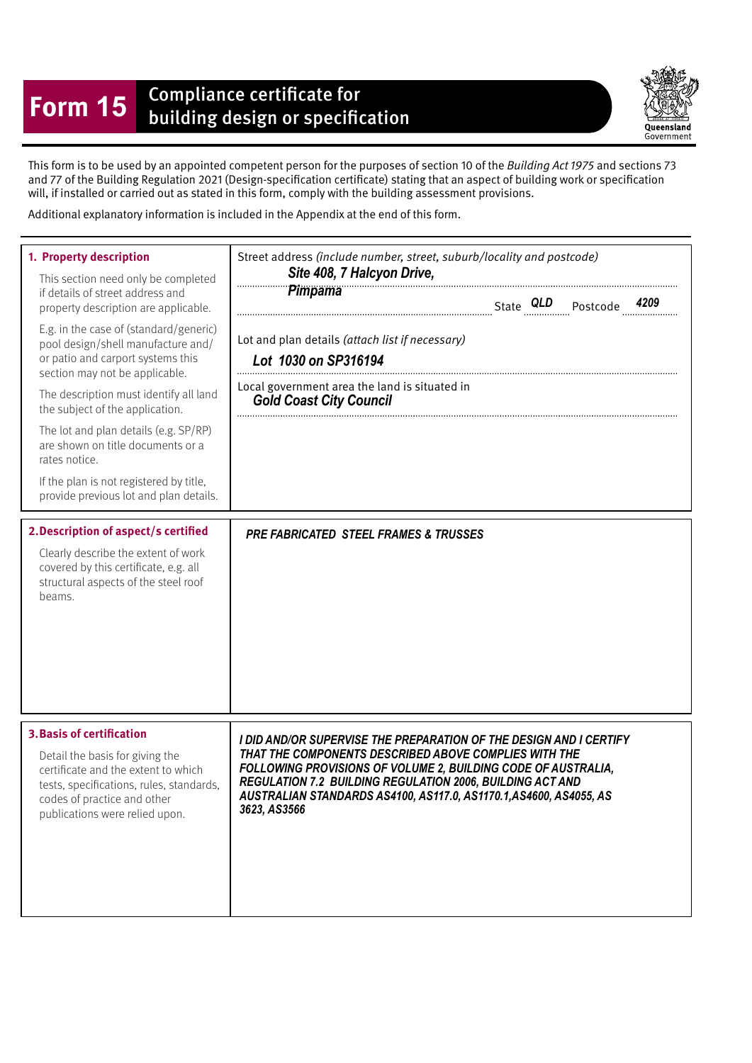## **Form 15** Compliance certificate for<br>building design or specification

Queensland Government

This form is to be used by an appointed competent person for the purposes of section 10 of the Building Act 1975 and sections 73 and 77 of the Building Regulation 2021 (Design-specifcation certifcate) stating that an aspect of building work or specifcation will, if installed or carried out as stated in this form, comply with the building assessment provisions.

Additional explanatory information is included in the Appendix at the end of this form.

| 1. Property description<br>This section need only be completed<br>if details of street address and<br>property description are applicable.<br>E.g. in the case of (standard/generic)<br>pool design/shell manufacture and/<br>or patio and carport systems this<br>section may not be applicable.<br>The description must identify all land<br>the subject of the application.<br>The lot and plan details (e.g. SP/RP)<br>are shown on title documents or a<br>rates notice.<br>If the plan is not registered by title,<br>provide previous lot and plan details.<br>2. Description of aspect/s certified<br>Clearly describe the extent of work<br>covered by this certificate, e.g. all<br>structural aspects of the steel roof | Street address (include number, street, suburb/locality and postcode)<br>Site 408, 7 Halcyon Drive,<br>Pimpama<br>Lot and plan details (attach list if necessary)<br>Lot 1030 on SP316194<br>Local government area the land is situated in<br><b>Gold Coast City Council</b><br><b>PRE FABRICATED STEEL FRAMES &amp; TRUSSES</b>                       |
|------------------------------------------------------------------------------------------------------------------------------------------------------------------------------------------------------------------------------------------------------------------------------------------------------------------------------------------------------------------------------------------------------------------------------------------------------------------------------------------------------------------------------------------------------------------------------------------------------------------------------------------------------------------------------------------------------------------------------------|--------------------------------------------------------------------------------------------------------------------------------------------------------------------------------------------------------------------------------------------------------------------------------------------------------------------------------------------------------|
| beams.<br><b>3. Basis of certification</b><br>Detail the basis for giving the<br>certificate and the extent to which<br>tests, specifications, rules, standards,<br>codes of practice and other<br>publications were relied upon.                                                                                                                                                                                                                                                                                                                                                                                                                                                                                                  | I DID AND/OR SUPERVISE THE PREPARATION OF THE DESIGN AND I CERTIFY<br>THAT THE COMPONENTS DESCRIBED ABOVE COMPLIES WITH THE<br>FOLLOWING PROVISIONS OF VOLUME 2, BUILDING CODE OF AUSTRALIA,<br><b>REGULATION 7.2 BUILDING REGULATION 2006, BUILDING ACT AND</b><br>AUSTRALIAN STANDARDS AS4100, AS117.0, AS1170.1, AS4600, AS4055, AS<br>3623, AS3566 |